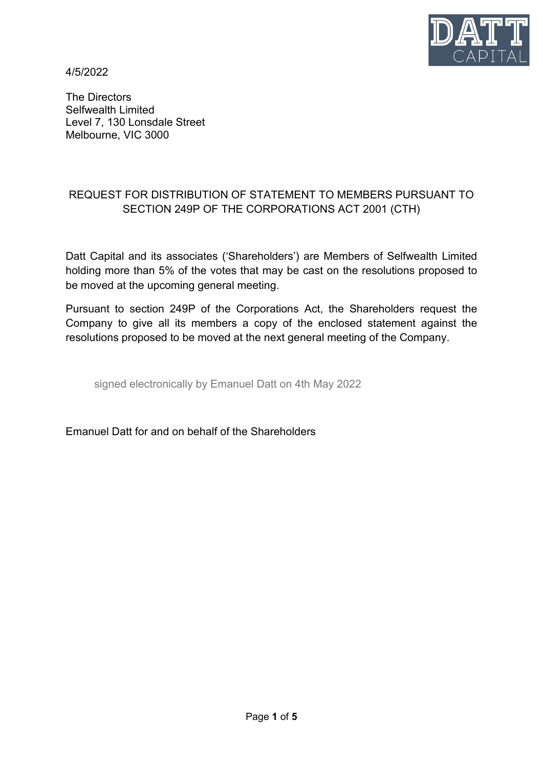

4/5/2022

The Directors Selfwealth Limited Level 7, 130 Lonsdale Street Melbourne, VIC 3000

## REQUEST FOR DISTRIBUTION OF STATEMENT TO MEMBERS PURSUANT TO SECTION 249P OF THE CORPORATIONS ACT 2001 (CTH)

Datt Capital and its associates ('Shareholders') are Members of Selfwealth Limited holding more than 5% of the votes that may be cast on the resolutions proposed to be moved at the upcoming general meeting.

Pursuant to section 249P of the Corporations Act, the Shareholders request the Company to give all its members a copy of the enclosed statement against the resolutions proposed to be moved at the next general meeting of the Company.

signed electronically by Emanuel Datt on 4th May 2022

Emanuel Datt for and on behalf of the Shareholders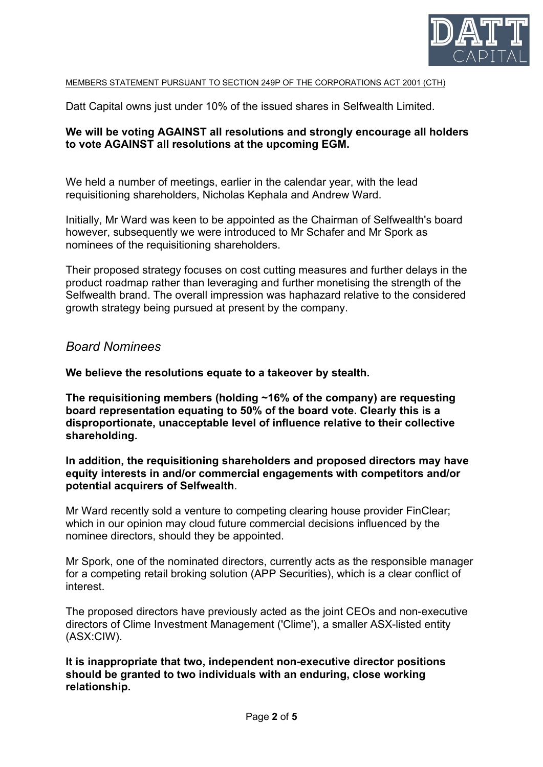

#### MEMBERS STATEMENT PURSUANT TO SECTION 249P OF THE CORPORATIONS ACT 2001 (CTH)

Datt Capital owns just under 10% of the issued shares in Selfwealth Limited.

### **We will be voting AGAINST all resolutions and strongly encourage all holders to vote AGAINST all resolutions at the upcoming EGM.**

We held a number of meetings, earlier in the calendar year, with the lead requisitioning shareholders, Nicholas Kephala and Andrew Ward.

Initially, Mr Ward was keen to be appointed as the Chairman of Selfwealth's board however, subsequently we were introduced to Mr Schafer and Mr Spork as nominees of the requisitioning shareholders.

Their proposed strategy focuses on cost cutting measures and further delays in the product roadmap rather than leveraging and further monetising the strength of the Selfwealth brand. The overall impression was haphazard relative to the considered growth strategy being pursued at present by the company.

### *Board Nominees*

**We believe the resolutions equate to a takeover by stealth.**

**The requisitioning members (holding ~16% of the company) are requesting board representation equating to 50% of the board vote. Clearly this is a disproportionate, unacceptable level of influence relative to their collective shareholding.**

### **In addition, the requisitioning shareholders and proposed directors may have equity interests in and/or commercial engagements with competitors and/or potential acquirers of Selfwealth**.

Mr Ward recently sold a venture to competing clearing house provider FinClear; which in our opinion may cloud future commercial decisions influenced by the nominee directors, should they be appointed.

Mr Spork, one of the nominated directors, currently acts as the responsible manager for a competing retail broking solution (APP Securities), which is a clear conflict of interest.

The proposed directors have previously acted as the joint CEOs and non-executive directors of Clime Investment Management ('Clime'), a smaller ASX-listed entity (ASX:CIW).

### **It is inappropriate that two, independent non-executive director positions should be granted to two individuals with an enduring, close working relationship.**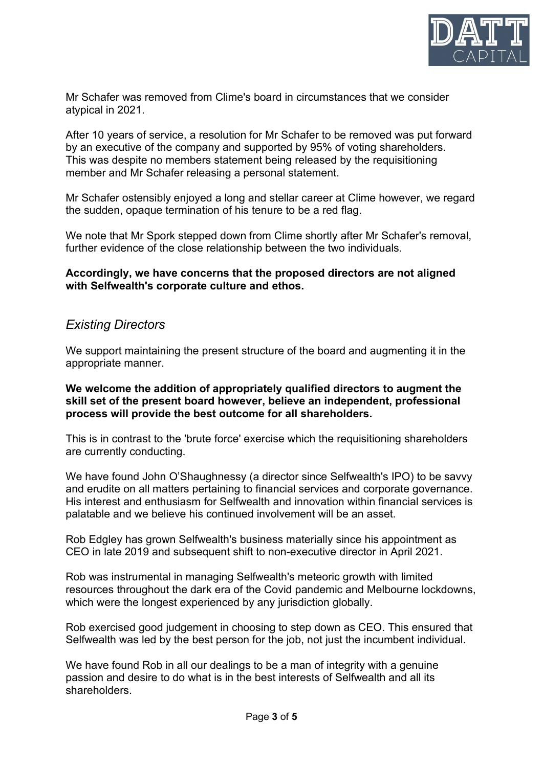

Mr Schafer was removed from Clime's board in circumstances that we consider atypical in 2021.

After 10 years of service, a resolution for Mr Schafer to be removed was put forward by an executive of the company and supported by 95% of voting shareholders. This was despite no members statement being released by the requisitioning member and Mr Schafer releasing a personal statement.

Mr Schafer ostensibly enjoyed a long and stellar career at Clime however, we regard the sudden, opaque termination of his tenure to be a red flag.

We note that Mr Spork stepped down from Clime shortly after Mr Schafer's removal, further evidence of the close relationship between the two individuals.

### **Accordingly, we have concerns that the proposed directors are not aligned with Selfwealth's corporate culture and ethos.**

## *Existing Directors*

We support maintaining the present structure of the board and augmenting it in the appropriate manner.

#### **We welcome the addition of appropriately qualified directors to augment the skill set of the present board however, believe an independent, professional process will provide the best outcome for all shareholders.**

This is in contrast to the 'brute force' exercise which the requisitioning shareholders are currently conducting.

We have found John O'Shaughnessy (a director since Selfwealth's IPO) to be savvy and erudite on all matters pertaining to financial services and corporate governance. His interest and enthusiasm for Selfwealth and innovation within financial services is palatable and we believe his continued involvement will be an asset.

Rob Edgley has grown Selfwealth's business materially since his appointment as CEO in late 2019 and subsequent shift to non-executive director in April 2021.

Rob was instrumental in managing Selfwealth's meteoric growth with limited resources throughout the dark era of the Covid pandemic and Melbourne lockdowns, which were the longest experienced by any jurisdiction globally.

Rob exercised good judgement in choosing to step down as CEO. This ensured that Selfwealth was led by the best person for the job, not just the incumbent individual.

We have found Rob in all our dealings to be a man of integrity with a genuine passion and desire to do what is in the best interests of Selfwealth and all its shareholders.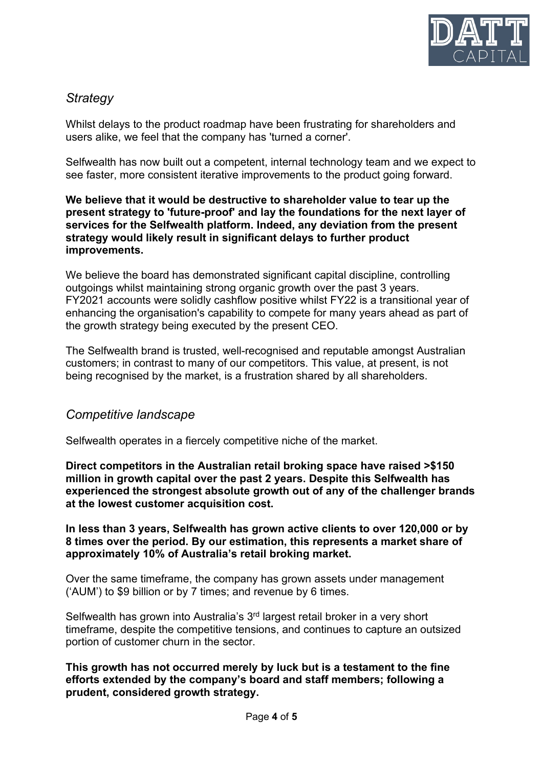

# *Strategy*

Whilst delays to the product roadmap have been frustrating for shareholders and users alike, we feel that the company has 'turned a corner'.

Selfwealth has now built out a competent, internal technology team and we expect to see faster, more consistent iterative improvements to the product going forward.

### **We believe that it would be destructive to shareholder value to tear up the present strategy to 'future-proof' and lay the foundations for the next layer of services for the Selfwealth platform. Indeed, any deviation from the present strategy would likely result in significant delays to further product improvements.**

We believe the board has demonstrated significant capital discipline, controlling outgoings whilst maintaining strong organic growth over the past 3 years. FY2021 accounts were solidly cashflow positive whilst FY22 is a transitional year of enhancing the organisation's capability to compete for many years ahead as part of the growth strategy being executed by the present CEO.

The Selfwealth brand is trusted, well-recognised and reputable amongst Australian customers; in contrast to many of our competitors. This value, at present, is not being recognised by the market, is a frustration shared by all shareholders.

### *Competitive landscape*

Selfwealth operates in a fiercely competitive niche of the market.

**Direct competitors in the Australian retail broking space have raised >\$150 million in growth capital over the past 2 years. Despite this Selfwealth has experienced the strongest absolute growth out of any of the challenger brands at the lowest customer acquisition cost.** 

**In less than 3 years, Selfwealth has grown active clients to over 120,000 or by 8 times over the period. By our estimation, this represents a market share of approximately 10% of Australia's retail broking market.** 

Over the same timeframe, the company has grown assets under management ('AUM') to \$9 billion or by 7 times; and revenue by 6 times.

Selfwealth has grown into Australia's 3<sup>rd</sup> largest retail broker in a very short timeframe, despite the competitive tensions, and continues to capture an outsized portion of customer churn in the sector.

**This growth has not occurred merely by luck but is a testament to the fine efforts extended by the company's board and staff members; following a prudent, considered growth strategy.**